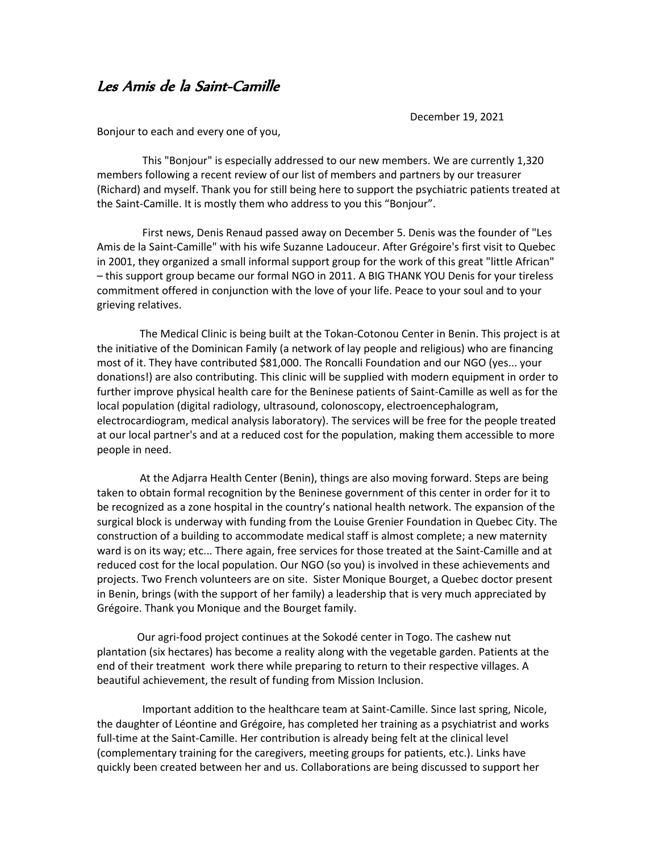## Les Amis de la Saint-Camille

December 19, 2021

Bonjour to each and every one of you,

 This "Bonjour" is especially addressed to our new members. We are currently 1,320 members following a recent review of our list of members and partners by our treasurer (Richard) and myself. Thank you for still being here to support the psychiatric patients treated at the Saint-Camille. It is mostly them who address to you this "Bonjour".

 First news, Denis Renaud passed away on December 5. Denis was the founder of "Les Amis de la Saint-Camille" with his wife Suzanne Ladouceur. After Grégoire's first visit to Quebec in 2001, they organized a small informal support group for the work of this great "little African" – this support group became our formal NGO in 2011. A BIG THANK YOU Denis for your tireless commitment offered in conjunction with the love of your life. Peace to your soul and to your grieving relatives.

 The Medical Clinic is being built at the Tokan-Cotonou Center in Benin. This project is at the initiative of the Dominican Family (a network of lay people and religious) who are financing most of it. They have contributed \$81,000. The Roncalli Foundation and our NGO (yes... your donations!) are also contributing. This clinic will be supplied with modern equipment in order to further improve physical health care for the Beninese patients of Saint-Camille as well as for the local population (digital radiology, ultrasound, colonoscopy, electroencephalogram, electrocardiogram, medical analysis laboratory). The services will be free for the people treated at our local partner's and at a reduced cost for the population, making them accessible to more people in need.

 At the Adjarra Health Center (Benin), things are also moving forward. Steps are being taken to obtain formal recognition by the Beninese government of this center in order for it to be recognized as a zone hospital in the country's national health network. The expansion of the surgical block is underway with funding from the Louise Grenier Foundation in Quebec City. The construction of a building to accommodate medical staff is almost complete; a new maternity ward is on its way; etc... There again, free services for those treated at the Saint-Camille and at reduced cost for the local population. Our NGO (so you) is involved in these achievements and projects. Two French volunteers are on site. Sister Monique Bourget, a Quebec doctor present in Benin, brings (with the support of her family) a leadership that is very much appreciated by Grégoire. Thank you Monique and the Bourget family.

 Our agri-food project continues at the Sokodé center in Togo. The cashew nut plantation (six hectares) has become a reality along with the vegetable garden. Patients at the end of their treatment work there while preparing to return to their respective villages. A beautiful achievement, the result of funding from Mission Inclusion.

 Important addition to the healthcare team at Saint-Camille. Since last spring, Nicole, the daughter of Léontine and Grégoire, has completed her training as a psychiatrist and works full-time at the Saint-Camille. Her contribution is already being felt at the clinical level (complementary training for the caregivers, meeting groups for patients, etc.). Links have quickly been created between her and us. Collaborations are being discussed to support her